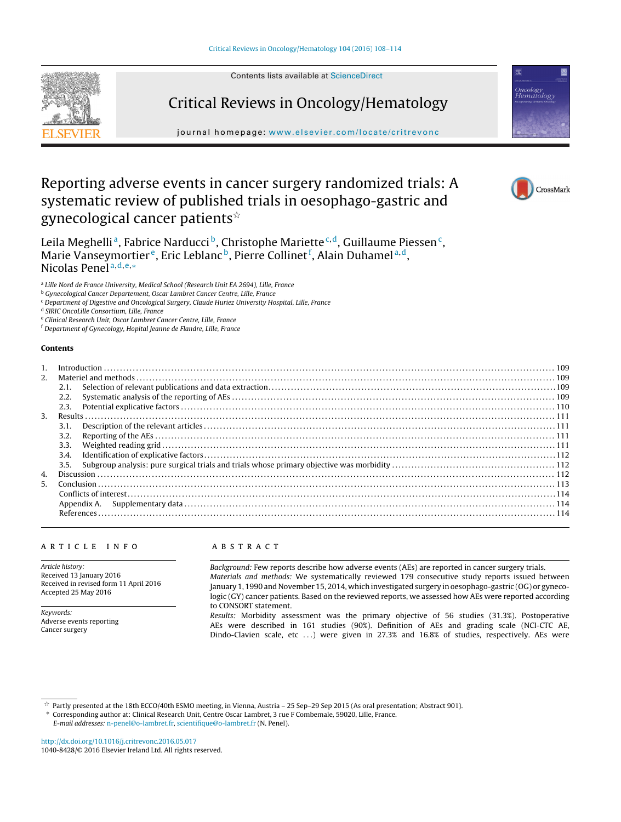Contents lists available at [ScienceDirect](http://www.sciencedirect.com/science/journal/10408428)





# Critical Reviews in Oncology/Hematology

iournal homepage: [www.elsevier.com/locate/critrevonc](http://www.elsevier.com/locate/critrevonc)

# Reporting adverse events in cancer surgery randomized trials: A systematic review of published trials in oesophago-gastric and gynecological cancer patients $^{\scriptscriptstyle\mathrm{\mathop{\star}}}$



Leila Meghelli<sup>a</sup>, Fabrice Narducci<sup>b</sup>, Christophe Mariette<sup>c,d</sup>, Guillaume Piessen<sup>c</sup>, Marie Vanseymortier<sup>e</sup>, Eric Leblanc<sup>b</sup>, Pierre Collinet<sup>f</sup>, Alain Duhamel<sup>a,d</sup>, Nicolas Penel <sup>a</sup>,d,e,<sup>∗</sup>

<sup>a</sup> Lille Nord de France University, Medical School (Research Unit EA 2694), Lille, France

<sup>b</sup> Gynecological Cancer Departement, Oscar Lambret Cancer Centre, Lille, France

<sup>c</sup> Department of Digestive and Oncological Surgery, Claude Huriez University Hospital, Lille, France

<sup>d</sup> SIRIC OncoLille Consortium, Lille, France

<sup>e</sup> Clinical Research Unit, Oscar Lambret Cancer Centre, Lille, France

<sup>f</sup> Department of Gynecology, Hopital Jeanne de Flandre, Lille, France

#### **Contents**

| 2. |      |  |  |
|----|------|--|--|
|    | 2.1. |  |  |
|    | 2.2. |  |  |
|    | 2.3. |  |  |
| 3. |      |  |  |
|    | 3.1. |  |  |
|    | 3.2. |  |  |
|    | 3.3. |  |  |
|    | 3.4. |  |  |
|    | 3.5. |  |  |
| 4. |      |  |  |
| 5. |      |  |  |
|    |      |  |  |
|    |      |  |  |
|    |      |  |  |
|    |      |  |  |

#### a r t i c l e i n f o

Article history: Received 13 January 2016 Received in revised form 11 April 2016 Accepted 25 May 2016

Keywords: Adverse events reporting Cancer surgery

#### A B S T R A C T

Background: Few reports describe how adverse events (AEs) are reported in cancer surgery trials. Materials and methods: We systematically reviewed 179 consecutive study reports issued between January 1, 1990 and November 15, 2014, which investigated surgery in oesophago-gastric (OG) or gynecologic (GY) cancer patients. Based on the reviewed reports, we assessed how AEs were reported according to CONSORT statement.

Results: Morbidity assessment was the primary objective of 56 studies (31.3%). Postoperative AEs were described in 161 studies (90%). Definition of AEs and grading scale (NCI-CTC AE, Dindo-Clavien scale, etc ...) were given in 27.3% and 16.8% of studies, respectively. AEs were

∗ Corresponding author at: Clinical Research Unit, Centre Oscar Lambret, 3 rue F Combemale, 59020, Lille, France.

E-mail addresses: [n-penel@o-lambret.fr,](mailto:n-penel@o-lambret.fr) [scientifique@o-lambret.fr](mailto:scientifique@o-lambret.fr) (N. Penel).

[http://dx.doi.org/10.1016/j.critrevonc.2016.05.017](dx.doi.org/10.1016/j.critrevonc.2016.05.017) 1040-8428/© 2016 Elsevier Ireland Ltd. All rights reserved.

 $\hat{\star}$  Partly presented at the 18th ECCO/40th ESMO meeting, in Vienna, Austria – 25 Sep–29 Sep 2015 (As oral presentation; Abstract 901).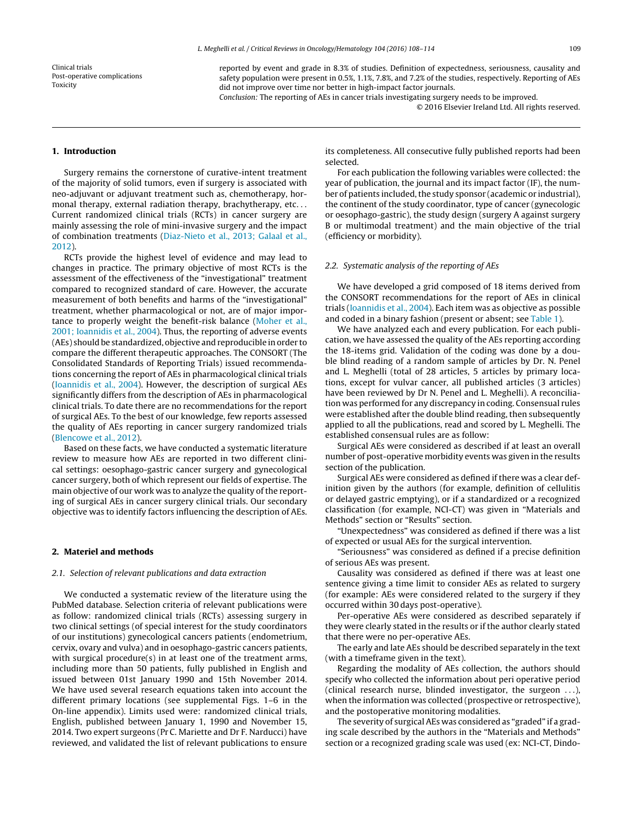Clinical trials Post-operative complications Toxicity

reported by event and grade in 8.3% of studies. Definition of expectedness, seriousness, causality and safety population were present in 0.5%, 1.1%, 7.8%, and 7.2% of the studies, respectively. Reporting of AEs did not improve over time nor better in high-impact factor journals.

Conclusion: The reporting of AEs in cancer trials investigating surgery needs to be improved. © 2016 Elsevier Ireland Ltd. All rights reserved.

# **1. Introduction**

Surgery remains the cornerstone of curative-intent treatment of the majority of solid tumors, even if surgery is associated with neo-adjuvant or adjuvant treatment such as, chemotherapy, hormonal therapy, external radiation therapy, brachytherapy, etc. . . Current randomized clinical trials (RCTs) in cancer surgery are mainly assessing the role of mini-invasive surgery and the impact of combination treatments ([Diaz-Nieto](#page-6-0) et [al.,](#page-6-0) [2013;](#page-6-0) [Galaal](#page-6-0) et [al.,](#page-6-0) [2012\).](#page-6-0)

RCTs provide the highest level of evidence and may lead to changes in practice. The primary objective of most RCTs is the assessment of the effectiveness of the "investigational" treatment compared to recognized standard of care. However, the accurate measurement of both benefits and harms of the "investigational" treatment, whether pharmacological or not, are of major importance to properly weight the benefit-risk balance [\(Moher](#page-6-0) et [al.,](#page-6-0) [2001;](#page-6-0) [Ioannidis](#page-6-0) et [al.,](#page-6-0) [2004\).](#page-6-0) Thus, the reporting of adverse events (AEs) should be standardized, objective and reproducible inorder to compare the different therapeutic approaches. The CONSORT (The Consolidated Standards of Reporting Trials) issued recommendations concerning the report of AEs in pharmacological clinical trials ([Ioannidis](#page-6-0) et [al.,](#page-6-0) [2004\).](#page-6-0) However, the description of surgical AEs significantly differs from the description of AEs in pharmacological clinical trials. To date there are no recommendations for the report of surgical AEs. To the best of our knowledge, few reports assessed the quality of AEs reporting in cancer surgery randomized trials ([Blencowe](#page-6-0) et [al.,](#page-6-0) [2012\).](#page-6-0)

Based on these facts, we have conducted a systematic literature review to measure how AEs are reported in two different clinical settings: oesophago-gastric cancer surgery and gynecological cancer surgery, both of which represent our fields of expertise. The main objective of our work was to analyze the quality of the reporting of surgical AEs in cancer surgery clinical trials. Our secondary objective was to identify factors influencing the description of AEs.

#### **2. Materiel and methods**

# 2.1. Selection of relevant publications and data extraction

We conducted a systematic review of the literature using the PubMed database. Selection criteria of relevant publications were as follow: randomized clinical trials (RCTs) assessing surgery in two clinical settings (of special interest for the study coordinators of our institutions) gynecological cancers patients (endometrium, cervix, ovary and vulva) and in oesophago-gastric cancers patients, with surgical procedure(s) in at least one of the treatment arms, including more than 50 patients, fully published in English and issued between 01st January 1990 and 15th November 2014. We have used several research equations taken into account the different primary locations (see supplemental Figs. 1–6 in the On-line appendix). Limits used were: randomized clinical trials, English, published between January 1, 1990 and November 15, 2014. Two expert surgeons (Pr C. Mariette and Dr F. Narducci) have reviewed, and validated the list of relevant publications to ensure

its completeness. All consecutive fully published reports had been selected.

For each publication the following variables were collected: the year of publication, the journal and its impact factor (IF), the number of patients included, the study sponsor (academic or industrial), the continent of the study coordinator, type of cancer (gynecologic or oesophago-gastric), the study design (surgery A against surgery B or multimodal treatment) and the main objective of the trial (efficiency or morbidity).

#### 2.2. Systematic analysis of the reporting of AEs

We have developed a grid composed of 18 items derived from the CONSORT recommendations for the report of AEs in clinical trials [\(Ioannidis](#page-6-0) et [al.,](#page-6-0) [2004\).](#page-6-0) Each item was as objective as possible and coded in a binary fashion (present or absent; see [Table](#page-2-0) 1).

We have analyzed each and every publication. For each publication, we have assessed the quality of the AEs reporting according the 18-items grid. Validation of the coding was done by a double blind reading of a random sample of articles by Dr. N. Penel and L. Meghelli (total of 28 articles, 5 articles by primary locations, except for vulvar cancer, all published articles (3 articles) have been reviewed by Dr N. Penel and L. Meghelli). A reconciliation was performed for any discrepancy in coding. Consensual rules were established after the double blind reading, then subsequently applied to all the publications, read and scored by L. Meghelli. The established consensual rules are as follow:

Surgical AEs were considered as described if at least an overall number of post-operative morbidity events was given in the results section of the publication.

Surgical AEs were considered as defined if there was a clear definition given by the authors (for example, definition of cellulitis or delayed gastric emptying), or if a standardized or a recognized classification (for example, NCI-CT) was given in "Materials and Methods" section or "Results" section.

"Unexpectedness" was considered as defined if there was a list of expected or usual AEs for the surgical intervention.

"Seriousness" was considered as defined if a precise definition of serious AEs was present.

Causality was considered as defined if there was at least one sentence giving a time limit to consider AEs as related to surgery (for example: AEs were considered related to the surgery if they occurred within 30 days post-operative).

Per-operative AEs were considered as described separately if they were clearly stated in the results or if the author clearly stated that there were no per-operative AEs.

The early and late AEs should be described separately in the text (with a timeframe given in the text).

Regarding the modality of AEs collection, the authors should specify who collected the information about peri operative period (clinical research nurse, blinded investigator, the surgeon . . .), when the information was collected (prospective or retrospective), and the postoperative monitoring modalities.

The severity of surgical AEs was considered as "graded" if a grading scale described by the authors in the "Materials and Methods" section or a recognized grading scale was used (ex: NCI-CT, Dindo-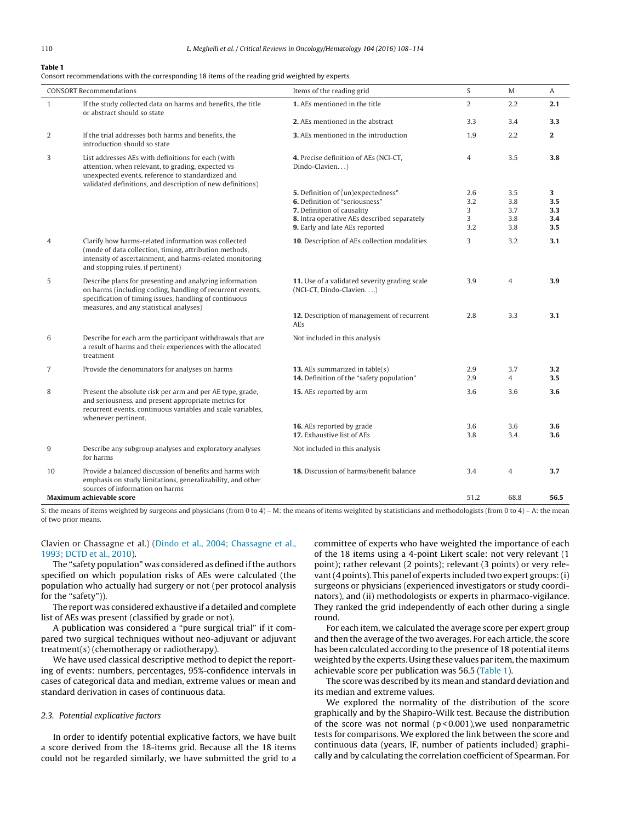#### <span id="page-2-0"></span>**Table 1**

Consort recommendations with the corresponding 18 items of the reading grid weighted by experts.

| <b>CONSORT Recommendations</b>                                                                                                                                                                                                 | Items of the reading grid                                                   | S          | M                     | Α                |
|--------------------------------------------------------------------------------------------------------------------------------------------------------------------------------------------------------------------------------|-----------------------------------------------------------------------------|------------|-----------------------|------------------|
| If the study collected data on harms and benefits, the title<br>$\mathbf{1}$<br>or abstract should so state                                                                                                                    | 1. AEs mentioned in the title                                               | 2          | 2.2                   | 2.1              |
|                                                                                                                                                                                                                                | 2. AEs mentioned in the abstract                                            | 3.3        | 3.4                   | 3.3              |
| 2<br>If the trial addresses both harms and benefits, the<br>introduction should so state                                                                                                                                       | 3. AEs mentioned in the introduction                                        | 1.9        | 2.2                   | $\overline{2}$   |
| 3<br>List addresses AEs with definitions for each (with<br>attention, when relevant, to grading, expected vs<br>unexpected events, reference to standardized and<br>validated definitions, and description of new definitions) | 4. Precise definition of AEs (NCI-CT,<br>Dindo-Clavien)                     | 4          | 3.5                   | 3.8              |
|                                                                                                                                                                                                                                | 5. Definition of (un)expectedness"                                          | 2.6        | 3.5                   | 3                |
|                                                                                                                                                                                                                                | 6. Definition of "seriousness"                                              | 3.2        | 3.8                   | $3.5\phantom{0}$ |
|                                                                                                                                                                                                                                | 7. Definition of causality                                                  | 3          | 3.7                   | $3.3\phantom{0}$ |
|                                                                                                                                                                                                                                | 8. Intra operative AEs described separately                                 | 3          | 3.8                   | 3.4              |
|                                                                                                                                                                                                                                | 9. Early and late AEs reported                                              | 3.2        | 3.8                   | 3.5              |
| Clarify how harms-related information was collected<br>4<br>(mode of data collection, timing, attribution methods,<br>intensity of ascertainment, and harms-related monitoring<br>and stopping rules, if pertinent)            | 10. Description of AEs collection modalities                                | 3          | 3.2                   | 3.1              |
| 5<br>Describe plans for presenting and analyzing information<br>on harms (including coding, handling of recurrent events,<br>specification of timing issues, handling of continuous<br>measures, and any statistical analyses) | 11. Use of a validated severity grading scale<br>(NCI-CT, Dindo-Clavien)    | 3.9        | $\overline{4}$        | 3.9              |
|                                                                                                                                                                                                                                | 12. Description of management of recurrent<br>AEs                           | 2.8        | 3.3                   | 3.1              |
| Describe for each arm the participant withdrawals that are<br>6<br>a result of harms and their experiences with the allocated<br>treatment                                                                                     | Not included in this analysis                                               |            |                       |                  |
| Provide the denominators for analyses on harms<br>7                                                                                                                                                                            | 13. AEs summarized in table(s)<br>14. Definition of the "safety population" | 2.9<br>2.9 | 3.7<br>$\overline{4}$ | 3.2<br>3.5       |
| 8<br>Present the absolute risk per arm and per AE type, grade,<br>and seriousness, and present appropriate metrics for<br>recurrent events, continuous variables and scale variables,<br>whenever pertinent.                   | <b>15.</b> AEs reported by arm                                              | 3.6        | 3.6                   | 3.6              |
|                                                                                                                                                                                                                                | 16. AEs reported by grade                                                   | 3.6        | 3.6                   | $3.6\phantom{0}$ |
|                                                                                                                                                                                                                                | 17. Exhaustive list of AEs                                                  | 3.8        | 3.4                   | 3.6              |
| Describe any subgroup analyses and exploratory analyses<br>9<br>for harms                                                                                                                                                      | Not included in this analysis                                               |            |                       |                  |
| 10<br>Provide a balanced discussion of benefits and harms with<br>emphasis on study limitations, generalizability, and other<br>sources of information on harms                                                                | 18. Discussion of harms/benefit balance                                     | 3.4        | $\overline{4}$        | 3.7              |
| <b>Maximum achievable score</b>                                                                                                                                                                                                |                                                                             | 51.2       | 68.8                  | 56.5             |

S: the means of items weighted by surgeons and physicians (from 0 to 4) – M: the means of items weighted by statisticians and methodologists (from 0 to 4) – A: the mean of two prior means.

# Clavien or Chassagne et al.) ([Dindo](#page-6-0) et [al.,](#page-6-0) [2004;](#page-6-0) [Chassagne](#page-6-0) et [al.,](#page-6-0) [1993;](#page-6-0) [DCTD](#page-6-0) et [al.,](#page-6-0) [2010\).](#page-6-0)

The "safety population" was considered as defined if the authors specified on which population risks of AEs were calculated (the population who actually had surgery or not (per protocol analysis for the "safety")).

The report was considered exhaustive if a detailed and complete list of AEs was present (classified by grade or not).

A publication was considered a "pure surgical trial" if it compared two surgical techniques without neo-adjuvant or adjuvant treatment(s) (chemotherapy or radiotherapy).

We have used classical descriptive method to depict the reporting of events: numbers, percentages, 95%-confidence intervals in cases of categorical data and median, extreme values or mean and standard derivation in cases of continuous data.

# 2.3. Potential explicative factors

In order to identify potential explicative factors, we have built a score derived from the 18-items grid. Because all the 18 items could not be regarded similarly, we have submitted the grid to a committee of experts who have weighted the importance of each of the 18 items using a 4-point Likert scale: not very relevant (1 point); rather relevant (2 points); relevant (3 points) or very relevant(4 points). This panel of experts included two expert groups:(i) surgeons or physicians (experienced investigators or study coordinators), and (ii) methodologists or experts in pharmaco-vigilance. They ranked the grid independently of each other during a single round.

For each item, we calculated the average score per expert group and then the average of the two averages. For each article, the score has been calculated according to the presence of 18 potential items weighted by the experts. Using these values par item, the maximum achievable score per publication was 56.5 (Table 1).

The score was described by its mean and standard deviation and its median and extreme values.

We explored the normality of the distribution of the score graphically and by the Shapiro-Wilk test. Because the distribution of the score was not normal  $(p < 0.001)$ , we used nonparametric tests for comparisons. We explored the link between the score and continuous data (years, IF, number of patients included) graphically and by calculating the correlation coefficient of Spearman. For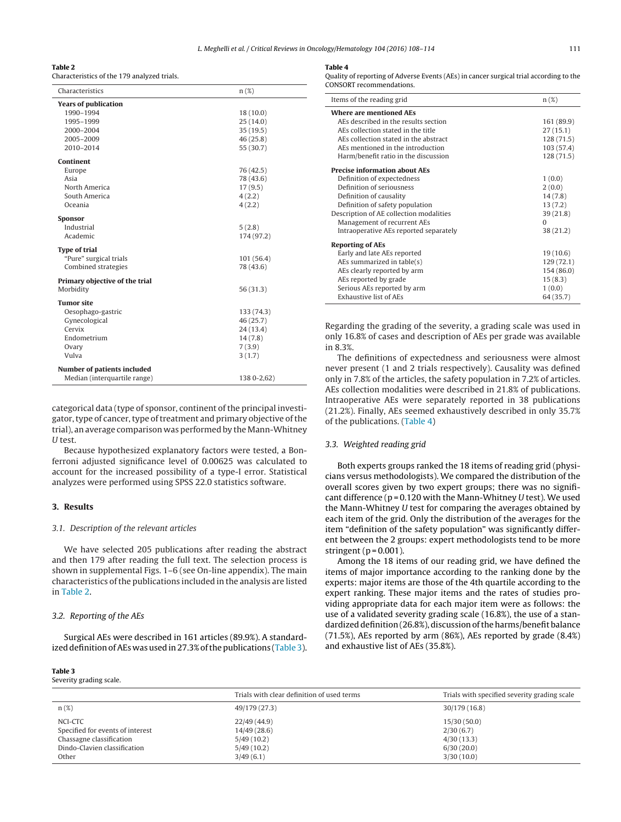#### **Table 2**

Characteristics of the 179 analyzed trials.

| Characteristics                    | $n(\%)$     |  |  |
|------------------------------------|-------------|--|--|
| <b>Years of publication</b>        |             |  |  |
| 1990-1994                          | 18 (10.0)   |  |  |
| 1995-1999                          | 25(14.0)    |  |  |
| 2000-2004                          | 35(19.5)    |  |  |
| 2005-2009                          | 46 (25.8)   |  |  |
| 2010-2014                          | 55 (30.7)   |  |  |
| Continent                          |             |  |  |
| Europe                             | 76 (42.5)   |  |  |
| Asia                               | 78 (43.6)   |  |  |
| North America                      | 17(9.5)     |  |  |
| South America                      | 4(2.2)      |  |  |
| Oceania                            | 4(2.2)      |  |  |
| Sponsor                            |             |  |  |
| Industrial                         | 5(2.8)      |  |  |
| Academic                           | 174 (97.2)  |  |  |
| <b>Type of trial</b>               |             |  |  |
| "Pure" surgical trials             | 101(56.4)   |  |  |
| Combined strategies                | 78 (43.6)   |  |  |
| Primary objective of the trial     |             |  |  |
| Morbidity                          | 56(31.3)    |  |  |
| <b>Tumor site</b>                  |             |  |  |
| Oesophago-gastric                  | 133 (74.3)  |  |  |
| Gynecological                      | 46 (25.7)   |  |  |
| Cervix                             | 24(13.4)    |  |  |
| Endometrium                        | 14(7.8)     |  |  |
| Ovary                              | 7(3.9)      |  |  |
| Vulva                              | 3(1.7)      |  |  |
|                                    |             |  |  |
| <b>Number of patients included</b> |             |  |  |
| Median (interquartile range)       | 138 0-2,62) |  |  |

categorical data (type of sponsor, continent of the principal investigator, type of cancer, type of treatment and primary objective of the trial), an average comparison was performed by the Mann-Whitney U test.

Because hypothesized explanatory factors were tested, a Bonferroni adjusted significance level of 0.00625 was calculated to account for the increased possibility of a type-I error. Statistical analyzes were performed using SPSS 22.0 statistics software.

# **3. Results**

# 3.1. Description of the relevant articles

We have selected 205 publications after reading the abstract and then 179 after reading the full text. The selection process is shown in supplemental Figs. 1–6 (see On-line appendix). The main characteristics ofthe publications included in the analysis are listed in Table 2.

#### 3.2. Reporting of the AEs

Surgical AEs were described in 161 articles (89.9%). A standardized definition of AEs was used in 27.3% of the publications (Table 3).

#### **Table 3**

Severity grading scale.

#### **Table 4**

Quality of reporting of Adverse Events (AEs) in cancer surgical trial according to the CONSORT recommendations.

| Items of the reading grid               | $n(\%)$    |  |
|-----------------------------------------|------------|--|
| <b>Where are mentioned AFs</b>          |            |  |
| AEs described in the results section    | 161 (89.9) |  |
| AEs collection stated in the title      | 27(15.1)   |  |
| AEs collection stated in the abstract   | 128 (71.5) |  |
| AEs mentioned in the introduction       | 103(57.4)  |  |
| Harm/benefit ratio in the discussion    | 128(71.5)  |  |
| <b>Precise information about AEs</b>    |            |  |
| Definition of expectedness              | 1(0.0)     |  |
| Definition of seriousness               | 2(0.0)     |  |
| Definition of causality                 | 14(7.8)    |  |
| Definition of safety population         | 13(7.2)    |  |
| Description of AE collection modalities | 39(21.8)   |  |
| Management of recurrent AEs             | $\Omega$   |  |
| Intraoperative AEs reported separately  | 38 (21.2)  |  |
| <b>Reporting of AEs</b>                 |            |  |
| Early and late AEs reported             | 19(10.6)   |  |
| AEs summarized in table(s)              | 129(72.1)  |  |
| AEs clearly reported by arm             | 154 (86.0) |  |
| AEs reported by grade                   | 15(8.3)    |  |
| Serious AEs reported by arm             | 1(0.0)     |  |
| <b>Exhaustive list of AEs</b>           | 64 (35.7)  |  |

Regarding the grading of the severity, a grading scale was used in only 16.8% of cases and description of AEs per grade was available in 8.3%.

The definitions of expectedness and seriousness were almost never present (1 and 2 trials respectively). Causality was defined only in 7.8% of the articles, the safety population in 7.2% of articles. AEs collection modalities were described in 21.8% of publications. Intraoperative AEs were separately reported in 38 publications (21.2%). Finally, AEs seemed exhaustively described in only 35.7% of the publications. (Table 4)

#### 3.3. Weighted reading grid

Both experts groups ranked the 18 items of reading grid (physicians versus methodologists). We compared the distribution of the overall scores given by two expert groups; there was no significant difference ( $p = 0.120$  with the Mann-Whitney U test). We used the Mann-Whitney U test for comparing the averages obtained by each item of the grid. Only the distribution of the averages for the item "definition of the safety population" was significantly different between the 2 groups: expert methodologists tend to be more stringent ( $p = 0.001$ ).

Among the 18 items of our reading grid, we have defined the items of major importance according to the ranking done by the experts: major items are those of the 4th quartile according to the expert ranking. These major items and the rates of studies providing appropriate data for each major item were as follows: the use of a validated severity grading scale (16.8%), the use of a standardized definition (26.8%), discussion of the harms/benefit balance (71.5%), AEs reported by arm (86%), AEs reported by grade (8.4%) and exhaustive list of AEs (35.8%).

|                                                                                                                  | Trials with clear definition of used terms                          | Trials with specified severity grading scale                       |
|------------------------------------------------------------------------------------------------------------------|---------------------------------------------------------------------|--------------------------------------------------------------------|
| $n(\%)$                                                                                                          | 49/179 (27.3)                                                       | 30/179 (16.8)                                                      |
| NCI-CTC<br>Specified for events of interest<br>Chassagne classification<br>Dindo-Clavien classification<br>Other | 22/49(44.9)<br>14/49(28.6)<br>5/49(10.2)<br>5/49(10.2)<br>3/49(6.1) | 15/30(50.0)<br>2/30(6.7)<br>4/30(13.3)<br>6/30(20.0)<br>3/30(10.0) |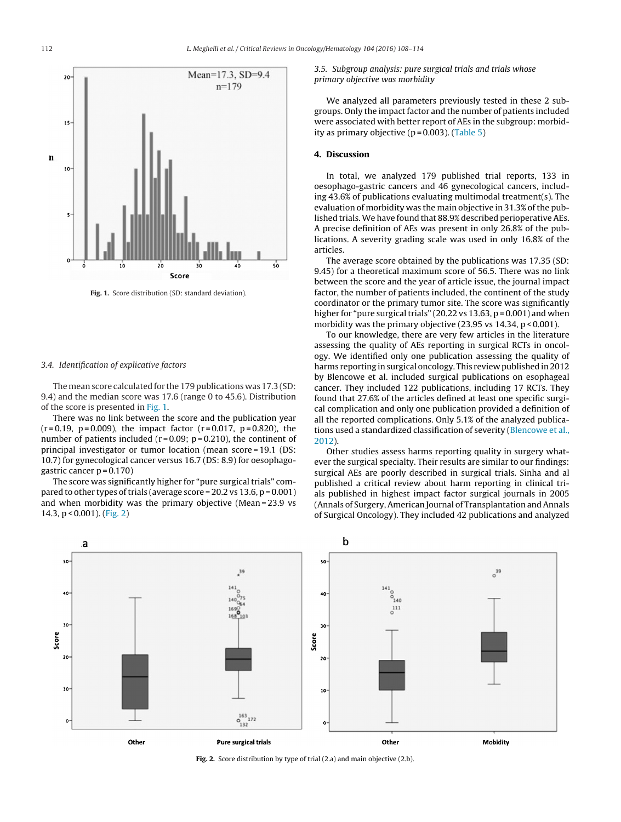

**Fig. 1.** Score distribution (SD: standard deviation).

#### 3.4. Identification of explicative factors

The mean score calculated for the 179 publications was 17.3 (SD: 9.4) and the median score was 17.6 (range 0 to 45.6). Distribution of the score is presented in Fig. 1.

There was no link between the score and the publication year  $(r=0.19, p=0.009)$ , the impact factor  $(r=0.017, p=0.820)$ , the number of patients included ( $r = 0.09$ ;  $p = 0.210$ ), the continent of principal investigator or tumor location (mean score = 19.1 (DS: 10.7) for gynecological cancer versus 16.7 (DS: 8.9) for oesophagogastric cancer  $p = 0.170$ )

The score was significantly higher for "pure surgical trials" compared to other types of trials (average score =  $20.2$  vs  $13.6$ ,  $p = 0.001$ ) and when morbidity was the primary objective (Mean = 23.9 vs 14.3, p < 0.001). (Fig. 2)

3.5. Subgroup analysis: pure surgical trials and trials whose primary objective was morbidity

We analyzed all parameters previously tested in these 2 subgroups. Only the impact factor and the number of patients included were associated with better report of AEs in the subgroup: morbidity as primary objective  $(p = 0.003)$ . ([Table](#page-5-0) 5)

#### **4. Discussion**

In total, we analyzed 179 published trial reports, 133 in oesophago-gastric cancers and 46 gynecological cancers, including 43.6% of publications evaluating multimodal treatment(s). The evaluation of morbidity was the main objective in 31.3% of the published trials.We have found that 88.9% described perioperative AEs. A precise definition of AEs was present in only 26.8% of the publications. A severity grading scale was used in only 16.8% of the articles.

The average score obtained by the publications was 17.35 (SD: 9.45) for a theoretical maximum score of 56.5. There was no link between the score and the year of article issue, the journal impact factor, the number of patients included, the continent of the study coordinator or the primary tumor site. The score was significantly higher for "pure surgical trials" (20.22 vs 13.63,  $p = 0.001$ ) and when morbidity was the primary objective (23.95 vs 14.34, p < 0.001).

To our knowledge, there are very few articles in the literature assessing the quality of AEs reporting in surgical RCTs in oncology. We identified only one publication assessing the quality of harms reporting in surgical oncology. This review published in 2012 by Blencowe et al. included surgical publications on esophageal cancer. They included 122 publications, including 17 RCTs. They found that 27.6% of the articles defined at least one specific surgical complication and only one publication provided a definition of all the reported complications. Only 5.1% of the analyzed publications used a standardized classification of severity [\(Blencowe](#page-6-0) et [al.,](#page-6-0) [2012\).](#page-6-0)

Other studies assess harms reporting quality in surgery whatever the surgical specialty. Their results are similar to our findings: surgical AEs are poorly described in surgical trials. Sinha and al published a critical review about harm reporting in clinical trials published in highest impact factor surgical journals in 2005 (Annals of Surgery, American Journal of Transplantation and Annals of Surgical Oncology). They included 42 publications and analyzed



**Fig. 2.** Score distribution by type of trial (2.a) and main objective (2.b).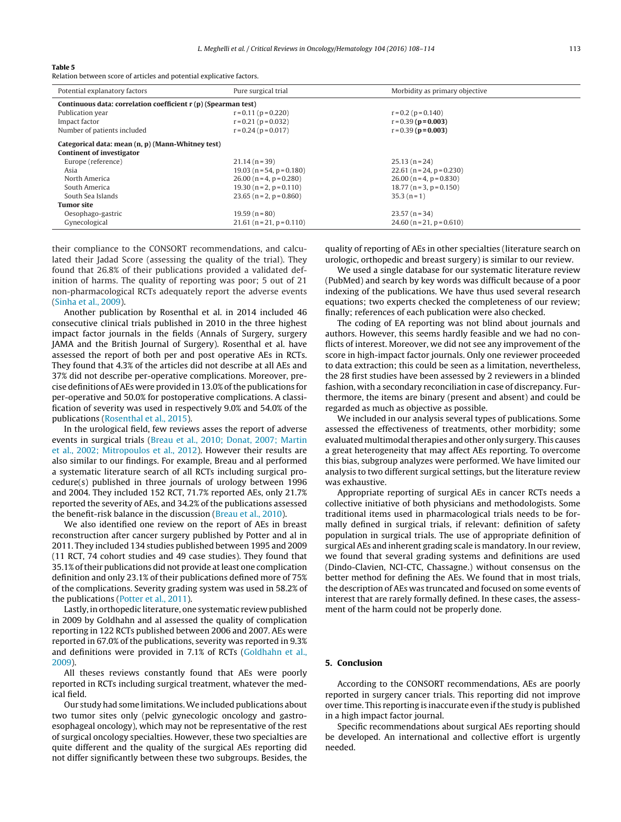#### <span id="page-5-0"></span>**Table 5**

Relation between score of articles and potential explicative factors.

| Potential explanatory factors                                  | Pure surgical trial         | Morbidity as primary objective   |  |  |
|----------------------------------------------------------------|-----------------------------|----------------------------------|--|--|
| Continuous data: correlation coefficient r (p) (Spearman test) |                             |                                  |  |  |
| Publication year                                               | $r = 0.11$ ( $p = 0.220$ )  | $r = 0.2$ ( $p = 0.140$ )        |  |  |
| Impact factor                                                  | $r = 0.21$ ( $p = 0.032$ )  | $r = 0.39$ ( $p = 0.003$ )       |  |  |
| Number of patients included                                    | $r = 0.24$ ( $p = 0.017$ )  | $r = 0.39$ ( $p = 0.003$ )       |  |  |
| Categorical data: mean (n, p) (Mann-Whitney test)              |                             |                                  |  |  |
| <b>Continent of investigator</b>                               |                             |                                  |  |  |
| Europe (reference)                                             | $21.14(n=39)$               | $25.13(n=24)$                    |  |  |
| Asia                                                           | $19.03$ (n = 54, p = 0.180) | 22.61 ( $n = 24$ , $p = 0.230$ ) |  |  |
| North America                                                  | $26.00(n=4, p=0.280)$       | $26.00$ (n = 4, p = 0.830)       |  |  |
| South America                                                  | $19.30(n=2, p=0.110)$       | $18.77$ (n = 3, p = 0.150)       |  |  |
| South Sea Islands                                              | $23.65$ (n = 2, p = 0.860)  | $35.3(n=1)$                      |  |  |
| <b>Tumor site</b>                                              |                             |                                  |  |  |
| Oesophago-gastric                                              | $19.59(n=80)$               | $23.57(n=34)$                    |  |  |
| Gynecological                                                  | $21.61$ (n = 21, p = 0.110) | $24.60$ (n = 21, p = 0.610)      |  |  |

their compliance to the CONSORT recommendations, and calculated their Jadad Score (assessing the quality of the trial). They found that 26.8% of their publications provided a validated definition of harms. The quality of reporting was poor; 5 out of 21 non-pharmacological RCTs adequately report the adverse events ([Sinha](#page-6-0) et [al.,](#page-6-0) [2009\).](#page-6-0)

Another publication by Rosenthal et al. in 2014 included 46 consecutive clinical trials published in 2010 in the three highest impact factor journals in the fields (Annals of Surgery, surgery JAMA and the British Journal of Surgery). Rosenthal et al. have assessed the report of both per and post operative AEs in RCTs. They found that 4.3% of the articles did not describe at all AEs and 37% did not describe per-operative complications. Moreover, precise definitions ofAEs were provided in 13.0% ofthe publications for per-operative and 50.0% for postoperative complications. A classification of severity was used in respectively 9.0% and 54.0% of the publications ([Rosenthal](#page-6-0) et [al.,](#page-6-0) [2015\).](#page-6-0)

In the urological field, few reviews asses the report of adverse events in surgical trials [\(Breau](#page-6-0) et [al.,](#page-6-0) [2010;](#page-6-0) [Donat,](#page-6-0) [2007;](#page-6-0) [Martin](#page-6-0) et [al.,](#page-6-0) [2002;](#page-6-0) [Mitropoulos](#page-6-0) et [al.,](#page-6-0) [2012\).](#page-6-0) However their results are also similar to our findings. For example, Breau and al performed a systematic literature search of all RCTs including surgical procedure(s) published in three journals of urology between 1996 and 2004. They included 152 RCT, 71.7% reported AEs, only 21.7% reported the severity of AEs, and 34.2% of the publications assessed the benefit-risk balance in the discussion ([Breau](#page-6-0) et [al.,](#page-6-0) [2010\).](#page-6-0)

We also identified one review on the report of AEs in breast reconstruction after cancer surgery published by Potter and al in 2011. They included 134 studies published between 1995 and 2009 (11 RCT, 74 cohort studies and 49 case studies). They found that 35.1% of their publications did not provide at least one complication definition and only 23.1% of their publications defined more of 75% of the complications. Severity grading system was used in 58.2% of the publications [\(Potter](#page-6-0) et [al.,](#page-6-0) [2011\).](#page-6-0)

Lastly, in orthopedic literature, one systematic review published in 2009 by Goldhahn and al assessed the quality of complication reporting in 122 RCTs published between 2006 and 2007. AEs were reported in 67.0% of the publications, severity was reported in 9.3% and definitions were provided in 7.1% of RCTs [\(Goldhahn](#page-6-0) et [al.,](#page-6-0) [2009\).](#page-6-0)

All theses reviews constantly found that AEs were poorly reported in RCTs including surgical treatment, whatever the medical field.

Our study had some limitations.We included publications about two tumor sites only (pelvic gynecologic oncology and gastroesophageal oncology), which may not be representative of the rest of surgical oncology specialties. However, these two specialties are quite different and the quality of the surgical AEs reporting did not differ significantly between these two subgroups. Besides, the

quality of reporting of AEs in other specialties (literature search on urologic, orthopedic and breast surgery) is similar to our review.

We used a single database for our systematic literature review (PubMed) and search by key words was difficult because of a poor indexing of the publications. We have thus used several research equations; two experts checked the completeness of our review; finally; references of each publication were also checked.

The coding of EA reporting was not blind about journals and authors. However, this seems hardly feasible and we had no conflicts of interest. Moreover, we did not see any improvement of the score in high-impact factor journals. Only one reviewer proceeded to data extraction; this could be seen as a limitation, nevertheless, the 28 first studies have been assessed by 2 reviewers in a blinded fashion, with a secondary reconciliation in case of discrepancy. Furthermore, the items are binary (present and absent) and could be regarded as much as objective as possible.

We included in our analysis several types of publications. Some assessed the effectiveness of treatments, other morbidity; some evaluated multimodal therapies and other only surgery. This causes a great heterogeneity that may affect AEs reporting. To overcome this bias, subgroup analyzes were performed. We have limited our analysis to two different surgical settings, but the literature review was exhaustive.

Appropriate reporting of surgical AEs in cancer RCTs needs a collective initiative of both physicians and methodologists. Some traditional items used in pharmacological trials needs to be formally defined in surgical trials, if relevant: definition of safety population in surgical trials. The use of appropriate definition of surgical AEs and inherent grading scale is mandatory. In our review, we found that several grading systems and definitions are used (Dindo-Clavien, NCI-CTC, Chassagne.) without consensus on the better method for defining the AEs. We found that in most trials, the description of AEs was truncated and focused on some events of interest that are rarely formally defined. In these cases, the assessment of the harm could not be properly done.

### **5. Conclusion**

According to the CONSORT recommendations, AEs are poorly reported in surgery cancer trials. This reporting did not improve over time. This reporting is inaccurate even if the study is published in a high impact factor journal.

Specific recommendations about surgical AEs reporting should be developed. An international and collective effort is urgently needed.